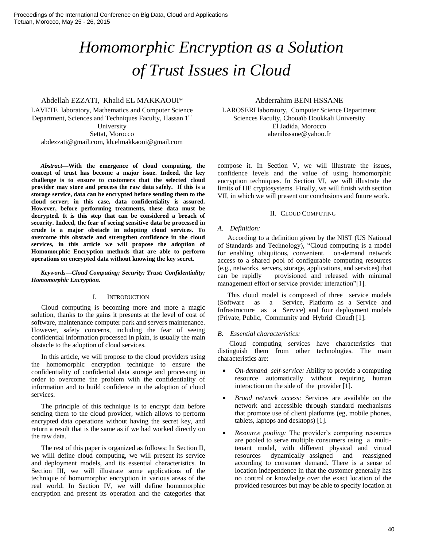# *Homomorphic Encryption as a Solution of Trust Issues in Cloud*

Abdellah EZZATI, Khalid EL MAKKAOUI\*

LAVETE laboratory, Mathematics and Computer Science Department, Sciences and Techniques Faculty, Hassan 1er University Settat, Morocco abdezzati@gmail.com, kh.elmakkaoui@gmail.com

*Abstract***—With the emergence of cloud computing, the concept of trust has become a major issue. Indeed, the key challenge is to ensure to customers that the selected cloud provider may store and process the raw data safely. If this is a storage service, data can be encrypted before sending them to the cloud server; in this case, data confidentiality is assured. However, before performing treatments, these data must be decrypted. It is this step that can be considered a breach of security. Indeed, the fear of seeing sensitive data be processed in crude is a major obstacle in adopting cloud services. To overcome this obstacle and strengthen confidence in the cloud services, in this article we will propose the adoption of Homomorphic Encryption methods that are able to perform operations on encrypted data without knowing the key secret.**

## *Keywords—Cloud Computing; Security; Trust; Confidentiality; Homomorphic Encryption.*

## I. INTRODUCTION

Cloud computing is becoming more and more a magic solution, thanks to the gains it presents at the level of cost of software, maintenance computer park and servers maintenance. However, safety concerns, including the fear of seeing confidential information processed in plain, is usually the main obstacle to the adoption of cloud services.

In this article, we will propose to the cloud providers using the homomorphic encryption technique to ensure the confidentiality of confidential data storage and processing in order to overcome the problem with the confidentiality of information and to build confidence in the adoption of cloud services.

The principle of this technique is to encrypt data before sending them to the cloud provider, which allows to perform encrypted data operations without having the secret key, and return a result that is the same as if we had worked directly on the raw data.

The rest of this paper is organized as follows: In Section II, we willl define cloud computing, we will present its service and deployment models, and its essential characteristics. In Section III, we will illustrate some applications of the technique of homomorphic encryption in various areas of the real world. In Section IV, we will define homomorphic encryption and present its operation and the categories that

Abderrahim BENI HSSANE

LAROSERI laboratory, Computer Science Department Sciences Faculty, Chouaïb Doukkali University El Jadida, Morocco abenihssane@yahoo.fr

compose it. In Section V, we will illustrate the issues, confidence levels and the value of using homomorphic encryption techniques. In Section VI, we will illustrate the limits of HE cryptosystems. Finally, we will finish with section VII, in which we will present our conclusions and future work.

# II. CLOUD COMPUTING

# *A. Definition:*

According to a definition given by the NIST (US National of Standards and Technology), "Cloud computing is a model for enabling ubiquitous, convenient, on-demand network access to a shared pool of configurable computing resources (e.g., networks, servers, storage, applications, and services) that can be rapidly provisioned and released with minimal management effort or service provider interaction"[1].

This cloud model is composed of three service models (Software as a Service, Platform as a Service and Infrastructure as a Service) and four deployment models (Private, Public, Community and Hybrid Cloud) [1].

# *B. Essential characteristics:*

Cloud computing services have characteristics that distinguish them from other technologies. The main characteristics are:

- *On-demand self-service:* Ability to provide a computing resource automatically without requiring human interaction on the side of the provider [1].
- *Broad network access:* Services are available on the network and accessible through standard mechanisms that promote use of client platforms (eg, mobile phones, tablets, laptops and desktops) [1].
- *Resource pooling:* The provider's computing resources are pooled to serve multiple consumers using a multitenant model, with different physical and virtual resources dynamically assigned and reassigned according to consumer demand. There is a sense of location independence in that the customer generally has no control or knowledge over the exact location of the provided resources but may be able to specify location at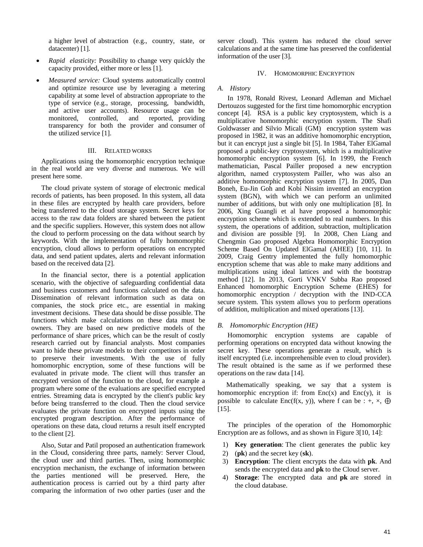a higher level of abstraction (e.g., country, state, or datacenter) [1].

- *Rapid elasticity:* Possibility to change very quickly the capacity provided, either more or less [1].
- *Measured service:* Cloud systems automatically control and optimize resource use by leveraging a metering capability at some level of abstraction appropriate to the type of service (e.g., storage, processing, bandwidth, and active user accounts). Resource usage can be monitored, controlled, and reported, providing transparency for both the provider and consumer of the utilized service [1].

#### III. RELATED WORKS

Applications using the homomorphic encryption technique in the real world are very diverse and numerous. We will present here some.

The cloud private system of storage of electronic medical records of patients, has been proposed. In this system, all data in these files are encrypted by health care providers, before being transferred to the cloud storage system. Secret keys for access to the raw data folders are shared between the patient and the specific suppliers. However, this system does not allow the cloud to perform processing on the data without search by keywords. With the implementation of fully homomorphic encryption, cloud allows to perform operations on encrypted data, and send patient updates, alerts and relevant information based on the received data [2].

In the financial sector, there is a potential application scenario, with the objective of safeguarding confidential data and business customers and functions calculated on the data. Dissemination of relevant information such as data on companies, the stock price etc., are essential in making investment decisions. These data should be disse possible. The functions which make calculations on these data must be owners. They are based on new predictive models of the performance of share prices, which can be the result of costly research carried out by financial analysts. Most companies want to hide these private models to their competitors in order to preserve their investments. With the use of fully homomorphic encryption, some of these functions will be evaluated in private mode. The client will thus transfer an encrypted version of the function to the cloud, for example a program where some of the evaluations are specified encrypted entries. Streaming data is encrypted by the client's public key before being transferred to the cloud. Then the cloud service evaluates the private function on encrypted inputs using the encrypted program description. After the performance of operations on these data, cloud returns a result itself encrypted to the client [2].

Also, Sutar and Patil proposed an authentication framework in the Cloud, considering three parts, namely: Server Cloud, the cloud user and third parties. Then, using homomorphic encryption mechanism, the exchange of information between the parties mentioned will be preserved. Here, the authentication process is carried out by a third party after comparing the information of two other parties (user and the server cloud). This system has reduced the cloud server calculations and at the same time has preserved the confidential information of the user [3].

#### IV. HOMOMORPHIC ENCRYPTION

#### *A. History*

In 1978, Ronald Rivest, Leonard Adleman and Michael Dertouzos suggested for the first time homomorphic encryption concept [4]. RSA is a public key cryptosystem, which is a multiplicative homomorphic encryption system. The Shafi Goldwasser and Silvio Micali (GM) encryption system was proposed in 1982, it was an additive homomorphic encryption, but it can encrypt just a single bit [5]. In 1984, Taher ElGamal proposed a public-key cryptosystem, which is a multiplicative homomorphic encryption system [6]. In 1999, the French mathematician, Pascal Pailler proposed a new encryption algorithm, named cryptosystem Pailler, who was also an additive homomorphic encryption system [7]. In 2005, Dan Boneh, Eu-Jin Goh and Kobi Nissim invented an encryption system (BGN), with which we can perform an unlimited number of additions, but with only one multiplication [8]. In 2006, Xing Guangli et al have proposed a homomorphic encryption scheme which is extended to real numbers. In this system, the operations of addition, subtraction, multiplication and division are possible [9]. In 2008, Chen Liang and Chengmin Gao proposed Algebra Homomorphic Encryption Scheme Based On Updated ElGamal (AHEE) [10, 11]. In 2009, Craig Gentry implemented the fully homomorphic encryption scheme that was able to make many additions and multiplications using ideal lattices and with the bootstrap method [12]. In 2013, Gorti VNKV Subba Rao proposed Enhanced homomorphic Encryption Scheme (EHES) for homomorphic encryption / decryption with the IND-CCA secure system. This system allows you to perform operations of addition, multiplication and mixed operations [13].

## *B. Homomorphic Encryption (HE)*

Homomorphic encryption systems are capable of performing operations on encrypted data without knowing the secret key. These operations generate a result, which is itself encrypted (i.e. incomprehensible even to cloud provider). The result obtained is the same as if we performed these operations on the raw data [14].

 Mathematically speaking, we say that a system is homomorphic encryption if: from  $Enc(x)$  and  $Enc(y)$ , it is possible to calculate Enc(f(x, y)), where f can be : +,  $\times$ ,  $\oplus$  $[15]$ .

The principles of the operation of the Homomorphic Encryption are as follows, and as shown in Figure 3[10, 14]:

- 1) **Key generation**: The client generates the public key
- 2) (**pk**) and the secret key (**sk**).
- 3) **Encryption**: The client encrypts the data with **pk**. And sends the encrypted data and **pk** to the Cloud server.
- 4) **Storage**: The encrypted data and **pk** are stored in the cloud database.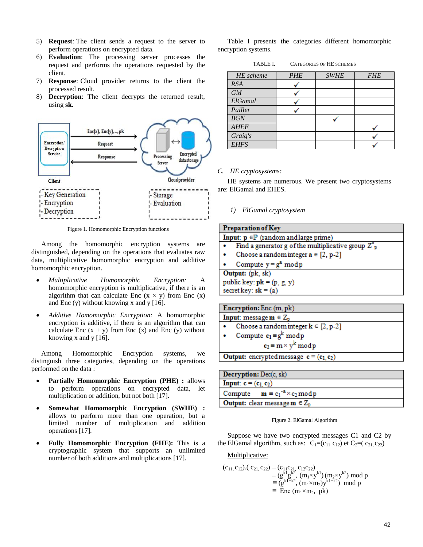- 5) **Request**: The client sends a request to the server to perform operations on encrypted data.
- 6) **Evaluation**: The processing server processes the request and performs the operations requested by the client.
- 7) **Response**: Cloud provider returns to the client the processed result.
- 8) **Decryption**: The client decrypts the returned result, using **sk**.



Figure 1. Homomorphic Encryption functions

Among the homomorphic encryption systems are distinguished, depending on the operations that evaluates raw data, multiplicative homomorphic encryption and additive homomorphic encryption.

- *Multiplicative Homomorphic Encryption:* A homomorphic encryption is multiplicative, if there is an algorithm that can calculate Enc  $(x \times y)$  from Enc  $(x)$ and Enc (y) without knowing x and y [16].
- *Additive Homomorphic Encryption:* A homomorphic encryption is additive, if there is an algorithm that can calculate Enc  $(x + y)$  from Enc  $(x)$  and Enc  $(y)$  without knowing x and y [16].

Among Homomorphic Encryption systems, we distinguish three categories, depending on the operations performed on the data :

- **Partially Homomorphic Encryption (PHE) :** allows to perform operations on encrypted data, let multiplication or addition, but not both [17].
- **Somewhat Homomorphic Encryption (SWHE) :**  allows to perform more than one operation, but a limited number of multiplication and addition operations [17].
- **Fully Homomorphic Encryption (FHE):** This is a cryptographic system that supports an unlimited number of both additions and multiplications [17].

Table I presents the categories different homomorphic encryption systems.

| HE scheme   | <b>PHE</b> | <b>SWHE</b> | <b>FHE</b> |
|-------------|------------|-------------|------------|
| <b>RSA</b>  |            |             |            |
| <b>GM</b>   |            |             |            |
| ElGamal     |            |             |            |
| Pailler     |            |             |            |
| <b>BGN</b>  |            |             |            |
| <b>AHEE</b> |            |             |            |
| Graig's     |            |             |            |
| <b>EHFS</b> |            |             |            |

## *C. HE cryptosystems:*

HE systems are numerous. We present two cryptosystems are: ElGamal and EHES.

*1) ElGamal cryptosystem*

| Preparation of Key                                                |  |  |
|-------------------------------------------------------------------|--|--|
| Input: $p \in \mathbb{P}$ (random and large prime)                |  |  |
| Find a generator g of the multiplicative group $Z_n$ <sup>*</sup> |  |  |
| Choose a random integer $a \in [2, p-2]$                          |  |  |
| Compute $y = g^a \mod p$                                          |  |  |
| Output: (pk, sk)                                                  |  |  |
| public key: $pk = (p, g, y)$                                      |  |  |
| secret key: $sk = (a)$                                            |  |  |
|                                                                   |  |  |
| Encryption: Enc (m, pk)                                           |  |  |

| $\text{Energy}$ Encryption: Enc $(m, pk)$ |  |  |
|-------------------------------------------|--|--|
| Input: message $m \in Z_n$                |  |  |

- Choose a random integer  $k \in [2, p-2]$
- Compute  $c_1 \equiv g^k \mod p$  $c_2 \equiv m \times y^k \mod p$

Output: encrypted message  $c = (c_1, c_2)$ 

| Decryption: Dec(c, sk)                        |  |  |
|-----------------------------------------------|--|--|
| Input: $c = (c_1, c_2)$                       |  |  |
| Compute $m \equiv c_1^{-a} \times c_2 \mod p$ |  |  |
| <b>Output:</b> clear message $m \in Z_p$      |  |  |

## Figure 2. ElGamal Algorithm

Suppose we have two encrypted messages C1 and C2 by the ElGamal algorithm, such as:  $C_1 = (c_{11}, c_{12})$  et  $C_2 = (c_{21}, c_{22})$ 

Multiplicative:

$$
(c_{11}, c_{12}). (c_{21}, c_{22}) \equiv (c_{11}c_{21}, c_{12}c_{22})
$$
  
\n
$$
\equiv (g^{kl}g^{k2}, (m_1 \times y^{k1}) (m_2 \times y^{k2}) \text{ mod } p
$$
  
\n
$$
\equiv (g^{k1+k2}, (m_1 \times m_2)y^{k1+k2}) \text{ mod } p
$$
  
\n
$$
\equiv \text{Enc } (m_1 \times m_2, pk)
$$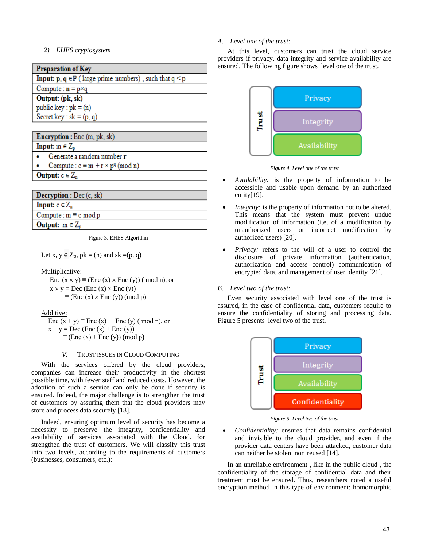# *2) EHES cryptosystem*

| <b>Preparation of Key</b>                                                       |  |  |
|---------------------------------------------------------------------------------|--|--|
| <b>Input:</b> $p, q \in \mathbb{P}$ (large prime numbers), such that $q \leq p$ |  |  |
| Compute: $\mathbf{n} = \mathbf{p} \times \mathbf{q}$                            |  |  |
| Output: (pk, sk)                                                                |  |  |
| public key : $pk = (n)$                                                         |  |  |
| Secret key : $sk = (p, q)$                                                      |  |  |

| <b>Encryption</b> : Enc $(m, pk, sk)$         |  |  |
|-----------------------------------------------|--|--|
| <b>Input:</b> $m \in Z_p$                     |  |  |
| Generate a random number r                    |  |  |
| Compute: $c \equiv m + r \times p^q \pmod{n}$ |  |  |
| <b>Output:</b> $c \in Z_n$                    |  |  |

| Decryption : $Dec(c, sk)$    |
|------------------------------|
| <b>Input:</b> $c \in Z_n$    |
| Compute: $m \equiv c \mod p$ |
| Output: $m \in Z_p$          |
|                              |

Figure 3. EHES Algorithm

Let x,  $y \in Z_p$ ,  $pk = (n)$  and  $sk = (p, q)$ 

Multiplicative:

Enc  $(x \times y) \equiv$  (Enc  $(x) \times$  Enc  $(y)$ ) (mod n), or  $x \times y = Dec$  (Enc  $(x) \times Enc(y)$ )  $\equiv$  (Enc (x)  $\times$  Enc (y)) (mod p)

Additive:

Enc  $(x + y) \equiv$  Enc  $(x) +$  Enc  $(y)$  (mod n), or  $x + y = Dec (Enc (x) + Enc (y))$  $\equiv$  (Enc (x) + Enc (y)) (mod p)

*V.* TRUST ISSUES IN CLOUD COMPUTING

With the services offered by the cloud providers, companies can increase their productivity in the shortest possible time, with fewer staff and reduced costs. However, the adoption of such a service can only be done if security is ensured. Indeed, the major challenge is to strengthen the trust of customers by assuring them that the cloud providers may store and process data securely [18].

Indeed, ensuring optimum level of security has become a necessity to preserve the integrity, confidentiality and availability of services associated with the Cloud. for strengthen the trust of customers. We will classify this trust into two levels, according to the requirements of customers (businesses, consumers, etc.):

## *A. Level one of the trust:*

At this level, customers can trust the cloud service providers if privacy, data integrity and service availability are ensured. The following figure shows level one of the trust.





- *Availability:* is the property of information to be accessible and usable upon demand by an authorized entity[19].
- *Integrity:* is the property of information not to be altered. This means that the system must prevent undue modification of information (i.e, of a modification by unauthorized users or incorrect modification by authorized users) [20].
- *Privacy:* refers to the will of a user to control the disclosure of private information (authentication, authorization and access control) communication of encrypted data, and management of user identity [21].

# *B. Level two of the trust:*

Even security associated with level one of the trust is assured, in the case of confidential data, customers require to ensure the confidentiality of storing and processing data. Figure 5 presents level two of the trust.



*Figure 5. Level two of the trust*

 *Confidentiality:* ensures that data remains confidential and invisible to the cloud provider, and even if the provider data centers have been attacked, customer data can neither be stolen nor reused [14].

In an unreliable environment , like in the public cloud , the confidentiality of the storage of confidential data and their treatment must be ensured. Thus, researchers noted a useful encryption method in this type of environment: homomorphic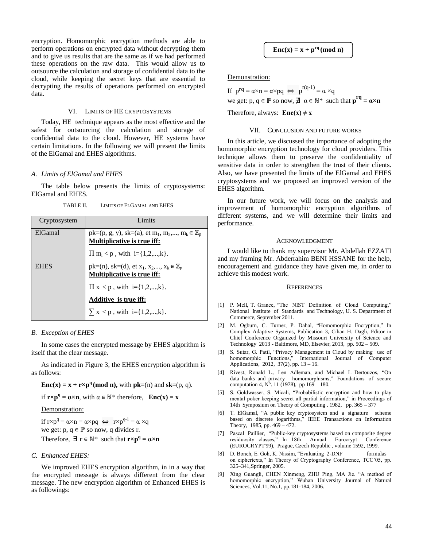encryption. Homomorphic encryption methods are able to perform operations on encrypted data without decrypting them and to give us results that are the same as if we had performed these operations on the raw data. This would allow us to outsource the calculation and storage of confidential data to the cloud, while keeping the secret keys that are essential to decrypting the results of operations performed on encrypted data.

## VI. LIMITS OF HE CRYPTOSYSTEMS

Today, HE technique appears as the most effective and the safest for outsourcing the calculation and storage of confidential data to the cloud. However, HE systems have certain limitations. In the following we will present the limits of the ElGamal and EHES algorithms.

#### *A. Limits of ElGamal and EHES*

The table below presents the limits of cryptosystems: ElGamal and EHES.

| Cryptosystem | Limits                                                                                                                          |
|--------------|---------------------------------------------------------------------------------------------------------------------------------|
| ElGamal      | $pk=(p, g, y)$ , sk=(a), et m <sub>1</sub> , m <sub>2</sub> ,, m <sub>k</sub> $\in \mathbb{Z}_p$<br>Multiplicative is true iff: |
|              | $\Pi$ m <sub>i</sub> < p, with i={1,2,,k}.                                                                                      |
| <b>EHES</b>  | $pk=(n)$ , sk=(d), et $x_1, x_2,, x_k \in \mathbb{Z}_p$<br>Multiplicative is true iff:                                          |
|              | $\Pi$ x <sub>i</sub> < p, with i={1,2,,k}.                                                                                      |
|              | Additive is true iff:                                                                                                           |
|              | $\sum x_i < p$ , with i={1,2,,k}.                                                                                               |

TABLE II. LIMITS OF ELGAMAL AND EHES

#### *B. Exception of EHES*

In some cases the encrypted message by EHES algorithm is itself that the clear message.

As indicated in Figure 3, the EHES encryption algorithm is as follows:

**Enc(x)** =  $x + r \times p^q$  (mod n), with  $pk=(n)$  and  $sk=(p, q)$ .

if  $\mathbf{r} \times \mathbf{p}^q = \boldsymbol{\alpha} \times \mathbf{n}$ , with  $\alpha \in \mathbb{N}^*$  therefore,  $\mathbf{Enc}(\mathbf{x}) = \mathbf{x}$ 

Demonstration:

if  $r \times p^q = \alpha \times n = \alpha \times pq \iff r \times p^{q-1} = \alpha \times q$ we get:  $p, q \in \mathbb{P}$  so now, q divides r. Therefore,  $\exists$  **r**  $\in$  N<sup>\*</sup> such that **r** $\times$ **p**<sup>q</sup> = *a* $\times$ **<b>n** 

# *C. Enhanced EHES:*

We improved EHES encryption algorithm, in in a way that the encrypted message is always different from the clear message. The new encryption algorithm of Enhanced EHES is as followings:

$$
Enc(x) = x + p^{rq} (mod n)
$$

Demonstration:

If  $p^{rq} = \alpha \times n = \alpha \times pq \Leftrightarrow p^{r(q-1)} = \alpha \times q$ we get:  $p, q \in \mathbb{P}$  so now,  $\vec{\mathcal{A}} \ \alpha \in \mathbb{N}^*$  such that  $p^{rq} = \alpha \times n$ Therefore, always:  $\text{Enc}(x) \neq x$ 

#### VII. CONCLUSION AND FUTURE WORKS

In this article, we discussed the importance of adopting the homomorphic encryption technology for cloud providers. This technique allows them to preserve the confidentiality of sensitive data in order to strengthen the trust of their clients. Also, we have presented the limits of the ElGamal and EHES cryptosystems and we proposed an improved version of the EHES algorithm.

In our future work, we will focus on the analysis and improvement of homomorphic encryption algorithms of different systems, and we will determine their limits and performance.

#### ACKNOWLEDGMENT

I would like to thank my supervisor Mr. Abdellah EZZATI and my framing Mr. Abderrahim BENI HSSANE for the help, encouragement and guidance they have given me, in order to achieve this modest work.

#### **REFERENCES**

- [1] P. Mell, T. Grance, "The NIST Definition of Cloud Computing," National Institute of Standards and Technology, U. S. Department of Commerce, September 2011.
- [2] M. Ogburn, C. Turner, P. Dahal, "Homomorphic Encryption," In Complex Adaptive Systems, Publication 3, Cihan H. Dagli, Editor in Chief Conference Organized by Missouri University of Science and Technology 2013 - Baltimore, MD, Elsevier, 2013, pp. 502 – 509.
- [3] S. Sutar, G. Patil, "Privacy Management in Cloud by making use of homomorphic Functions," International Journal of Computer Applications, 2012, 37(2), pp. 13 – 16.
- [4] Rivest, Ronald L., Len Adleman, and Michael L. Dertouzos, "On data banks and privacy homomorphisms," Foundations of secure computation 4,  $N^{\circ}$ . 11 (1978), pp 169 – 180.
- [5] S. Goldwasser, S. Micali, "Probabilistic encryption and how to play mental poker keeping secret all partial information," in Proceedings of 14th Symposium on Theory of Computing , 1982, pp. 365 – 377
- [6] T. ElGamal, "A public key cryptosystem and a signature scheme based on discrete logarithms," IEEE Transactions on Information Theory, 1985, pp. 469 – 472.
- [7] Pascal Paillier, "Public-key cryptosystems based on composite degree residuosity classes," In 18th Annual Eurocrypt (EUROCRYPT'99), Prague, Czech Republic , volume 1592, 1999.
- [8] D. Boneh, E. Goh, K. Nissim, "Evaluating 2-DNF formulas on ciphertexts," In Theory of Cryptography Conference, TCC'05, pp. 325–341,Springer, 2005.
- [9] Xing Guangli, CHEN Xinmeng, ZHU Ping, MA Jie. "A method of homomorphic encryption," Wuhan University Journal of Natural Sciences, Vol.11, No.1, pp.181-184, 2006.